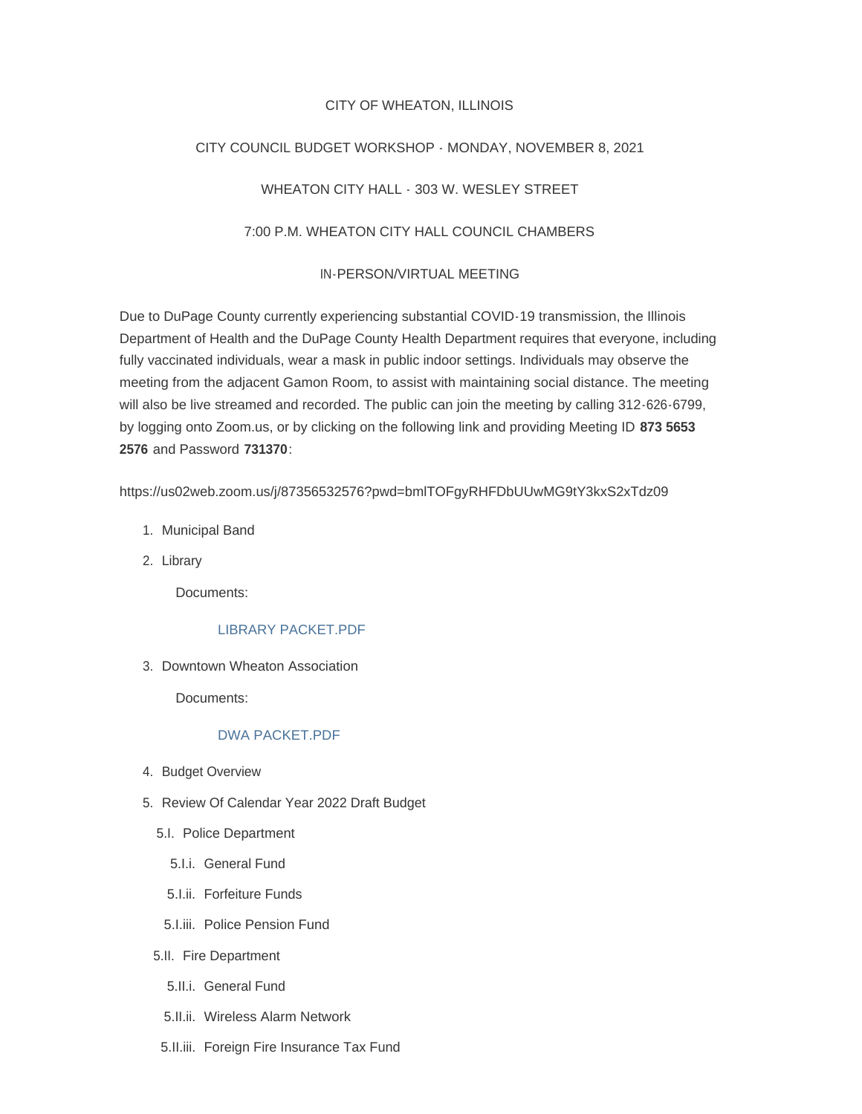### CITY OF WHEATON, ILLINOIS

# CITY COUNCIL BUDGET WORKSHOP - MONDAY, NOVEMBER 8, 2021

# WHEATON CITY HALL - 303 W. WESLEY STREET

## 7:00 P.M. WHEATON CITY HALL COUNCIL CHAMBERS

#### IN-PERSON/VIRTUAL MEETING

Due to DuPage County currently experiencing substantial COVID-19 transmission, the Illinois Department of Health and the DuPage County Health Department requires that everyone, including fully vaccinated individuals, wear a mask in public indoor settings. Individuals may observe the meeting from the adjacent Gamon Room, to assist with maintaining social distance. The meeting will also be live streamed and recorded. The public can join the meeting by calling 312-626-6799, by logging onto Zoom.us, or by clicking on the following link and providing Meeting ID **873 5653 2576** and Password **731370**:

https://us02web.zoom.us/j/87356532576?pwd=bmlTOFgyRHFDbUUwMG9tY3kxS2xTdz09

- 1. Municipal Band
- 2. Library

Documents:

#### [LIBRARY PACKET.PDF](https://www.wheaton.il.us/AgendaCenter/ViewFile/Item/7955?fileID=10660)

3. Downtown Wheaton Association

Documents:

## [DWA PACKET.PDF](https://www.wheaton.il.us/AgendaCenter/ViewFile/Item/7956?fileID=10661)

- 4. Budget Overview
- 5. Review Of Calendar Year 2022 Draft Budget
	- 5.I. Police Department
		- 5.I.i. General Fund
		- 5.I.ii. Forfeiture Funds
	- 5.I.iii. Police Pension Fund
	- 5.II. Fire Department
		- 5.II.i. General Fund
		- 5.II.ii. Wireless Alarm Network
	- 5.II.iii. Foreign Fire Insurance Tax Fund